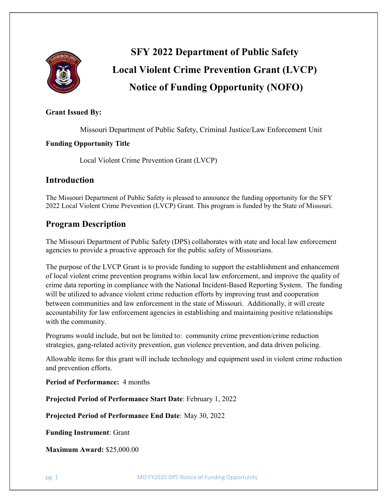

# **SFY 2022 Department of Public Safety Local Violent Crime Prevention Grant (LVCP) Notice of Funding Opportunity (NOFO)**

# **Grant Issued By:**

Missouri Department of Public Safety, Criminal Justice/Law Enforcement Unit

## **Funding Opportunity Title**

Local Violent Crime Prevention Grant (LVCP)

# **Introduction**

The Missouri Department of Public Safety is pleased to announce the funding opportunity for the SFY 2022 Local Violent Crime Prevention (LVCP) Grant. This program is funded by the State of Missouri.

# **Program Description**

The Missouri Department of Public Safety (DPS) collaborates with state and local law enforcement agencies to provide a proactive approach for the public safety of Missourians.

The purpose of the LVCP Grant is to provide funding to support the establishment and enhancement of local violent crime prevention programs within local law enforcement, and improve the quality of crime data reporting in compliance with the National Incident-Based Reporting System. The funding will be utilized to advance violent crime reduction efforts by improving trust and cooperation between communities and law enforcement in the state of Missouri. Additionally, it will create accountability for law enforcement agencies in establishing and maintaining positive relationships with the community.

Programs would include, but not be limited to: community crime prevention/crime reduction strategies, gang-related activity prevention, gun violence prevention, and data driven policing.

Allowable items for this grant will include technology and equipment used in violent crime reduction and prevention efforts.

**Period of Performance:** 4 months

**Projected Period of Performance Start Date**: February 1, 2022

**Projected Period of Performance End Date**: May 30, 2022

**Funding Instrument**: Grant

**Maximum Award:** \$25,000.00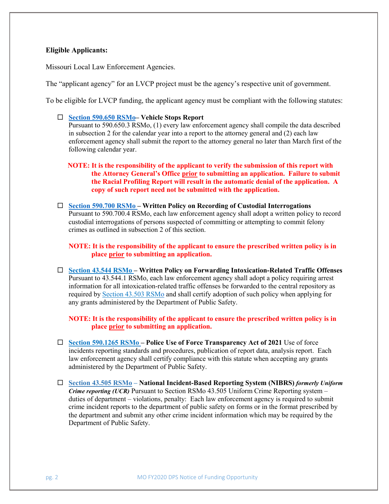#### **Eligible Applicants:**

Missouri Local Law Enforcement Agencies.

The "applicant agency" for an LVCP project must be the agency's respective unit of government.

To be eligible for LVCP funding, the applicant agency must be compliant with the following statutes:

#### **[Section 590.650 RSMo–](http://revisor.mo.gov/main/OneSection.aspx?section=590.650) Vehicle Stops Report**

Pursuant to 590.650.3 RSMo, (1) every law enforcement agency shall compile the data described in subsection 2 for the calendar year into a report to the attorney general and (2) each law enforcement agency shall submit the report to the attorney general no later than March first of the following calendar year.

**NOTE: It is the responsibility of the applicant to verify the submission of this report with the Attorney General's Office prior to submitting an application. Failure to submit the Racial Profiling Report will result in the automatic denial of the application. A copy of such report need not be submitted with the application.**

 **[Section 590.700 RSMo](http://revisor.mo.gov/main/OneSection.aspx?section=590.700&bid=30359&hl=590.700%25u2044) – Written Policy on Recording of Custodial Interrogations** Pursuant to 590.700.4 RSMo, each law enforcement agency shall adopt a written policy to record custodial interrogations of persons suspected of committing or attempting to commit felony crimes as outlined in subsection 2 of this section.

**NOTE: It is the responsibility of the applicant to ensure the prescribed written policy is in place prior to submitting an application.**

 **[Section 43.544 RSMo](http://revisor.mo.gov/main/OneSection.aspx?section=43.544&bid=1429&hl=) – Written Policy on Forwarding Intoxication-Related Traffic Offenses** Pursuant to 43.544.1 RSMo, each law enforcement agency shall adopt a policy requiring arrest information for all intoxication-related traffic offenses be forwarded to the central repository as required by [Section 43.503 RSMo](http://revisor.mo.gov/main/OneSection.aspx?section=43.503&bid=1408&hl=43.503%25u2044) and shall certify adoption of such policy when applying for any grants administered by the Department of Public Safety.

**NOTE: It is the responsibility of the applicant to ensure the prescribed written policy is in place prior to submitting an application.**

- **[Section 590.1265](https://www.revisor.mo.gov/main/OneSection.aspx?section=590.1265&bid=50165&hl=) RSMo – Police Use of Force Transparency Act of 2021** Use of force incidents reporting standards and procedures, publication of report data, analysis report. Each law enforcement agency shall certify compliance with this statute when accepting any grants administered by the Department of Public Safety.
- **Section 43.505 RSMo – National Incident-Based Reporting System (NIBRS)** *formerly Uniform Crime reporting (UCR)* Pursuant to Section RSMo 43.505 Uniform Crime Reporting system – duties of department – violations, penalty: Each law enforcement agency is required to submit crime incident reports to the department of public safety on forms or in the format prescribed by the department and submit any other crime incident information which may be required by the Department of Public Safety.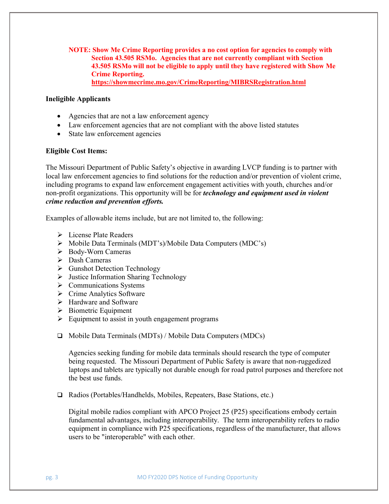**NOTE: Show Me Crime Reporting provides a no cost option for agencies to comply with Section 43.505 RSMo. Agencies that are not currently compliant with Section 43.505 RSMo will not be eligible to apply until they have registered with Show Me Crime Reporting. <https://showmecrime.mo.gov/CrimeReporting/MIBRSRegistration.html>**

#### **Ineligible Applicants**

- Agencies that are not a law enforcement agency
- Law enforcement agencies that are not compliant with the above listed statutes
- State law enforcement agencies

#### **Eligible Cost Items:**

The Missouri Department of Public Safety's objective in awarding LVCP funding is to partner with local law enforcement agencies to find solutions for the reduction and/or prevention of violent crime, including programs to expand law enforcement engagement activities with youth, churches and/or non-profit organizations. This opportunity will be for *technology and equipment used in violent crime reduction and prevention efforts.*

Examples of allowable items include, but are not limited to, the following:

- $\triangleright$  License Plate Readers
- Mobile Data Terminals (MDT's)/Mobile Data Computers (MDC's)
- Body-Worn Cameras
- $\triangleright$  Dash Cameras
- Gunshot Detection Technology
- $\triangleright$  Justice Information Sharing Technology
- $\triangleright$  Communications Systems
- $\triangleright$  Crime Analytics Software
- $\triangleright$  Hardware and Software
- $\triangleright$  Biometric Equipment
- $\triangleright$  Equipment to assist in youth engagement programs
- $\Box$  Mobile Data Terminals (MDTs) / Mobile Data Computers (MDCs)

Agencies seeking funding for mobile data terminals should research the type of computer being requested. The Missouri Department of Public Safety is aware that non-ruggedized laptops and tablets are typically not durable enough for road patrol purposes and therefore not the best use funds.

□ Radios (Portables/Handhelds, Mobiles, Repeaters, Base Stations, etc.)

Digital mobile radios compliant with APCO Project 25 (P25) specifications embody certain fundamental advantages, including interoperability. The term interoperability refers to radio equipment in compliance with P25 specifications, regardless of the manufacturer, that allows users to be "interoperable" with each other.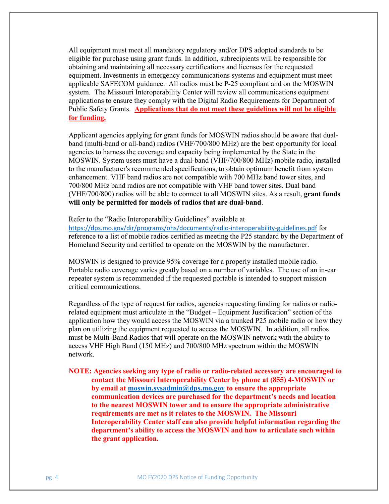All equipment must meet all mandatory regulatory and/or DPS adopted standards to be eligible for purchase using grant funds. In addition, subrecipients will be responsible for obtaining and maintaining all necessary certifications and licenses for the requested equipment. Investments in emergency communications systems and equipment must meet applicable SAFECOM guidance. All radios must be P-25 compliant and on the MOSWIN system. The Missouri Interoperability Center will review all communications equipment applications to ensure they comply with the Digital Radio Requirements for Department of Public Safety Grants. **Applications that do not meet these guidelines will not be eligible for funding.**

Applicant agencies applying for grant funds for MOSWIN radios should be aware that dualband (multi-band or all-band) radios (VHF/700/800 MHz) are the best opportunity for local agencies to harness the coverage and capacity being implemented by the State in the MOSWIN. System users must have a dual-band (VHF/700/800 MHz) mobile radio, installed to the manufacturer's recommended specifications, to obtain optimum benefit from system enhancement. VHF band radios are not compatible with 700 MHz band tower sites, and 700/800 MHz band radios are not compatible with VHF band tower sites. Dual band (VHF/700/800) radios will be able to connect to all MOSWIN sites. As a result, **grant funds will only be permitted for models of radios that are dual-band**.

Refer to the "Radio Interoperability Guidelines" available at

<https://dps.mo.gov/dir/programs/ohs/documents/radio-interoperability-guidelines.pdf> for reference to a list of mobile radios certified as meeting the P25 standard by the Department of Homeland Security and certified to operate on the MOSWIN by the manufacturer.

MOSWIN is designed to provide 95% coverage for a properly installed mobile radio. Portable radio coverage varies greatly based on a number of variables. The use of an in-car repeater system is recommended if the requested portable is intended to support mission critical communications.

Regardless of the type of request for radios, agencies requesting funding for radios or radiorelated equipment must articulate in the "Budget – Equipment Justification" section of the application how they would access the MOSWIN via a trunked P25 mobile radio or how they plan on utilizing the equipment requested to access the MOSWIN. In addition, all radios must be Multi-Band Radios that will operate on the MOSWIN network with the ability to access VHF High Band (150 MHz) and 700/800 MHz spectrum within the MOSWIN network.

**NOTE: Agencies seeking any type of radio or radio-related accessory are encouraged to contact the Missouri Interoperability Center by phone at (855) 4-MOSWIN or by email at [moswin.sysadmin@dps.mo.gov](mailto:moswin.sysadmin@dps.mo.gov) to ensure the appropriate communication devices are purchased for the department's needs and location to the nearest MOSWIN tower and to ensure the appropriate administrative requirements are met as it relates to the MOSWIN. The Missouri Interoperability Center staff can also provide helpful information regarding the department's ability to access the MOSWIN and how to articulate such within the grant application.**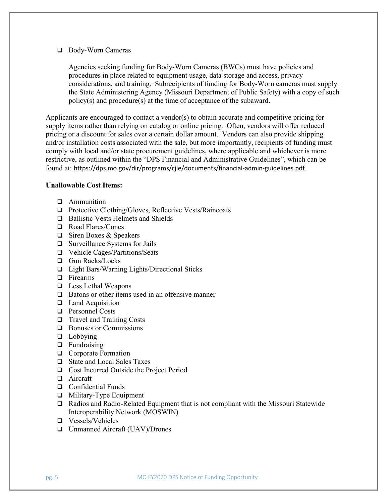#### □ Body-Worn Cameras

Agencies seeking funding for Body-Worn Cameras (BWCs) must have policies and procedures in place related to equipment usage, data storage and access, privacy considerations, and training. Subrecipients of funding for Body-Worn cameras must supply the State Administering Agency (Missouri Department of Public Safety) with a copy of such policy(s) and procedure(s) at the time of acceptance of the subaward.

Applicants are encouraged to contact a vendor(s) to obtain accurate and competitive pricing for supply items rather than relying on catalog or online pricing. Often, vendors will offer reduced pricing or a discount for sales over a certain dollar amount. Vendors can also provide shipping and/or installation costs associated with the sale, but more importantly, recipients of funding must comply with local and/or state procurement guidelines, where applicable and whichever is more restrictive, as outlined within the "DPS Financial and Administrative Guidelines", which can be found at: https://dps.mo.gov/dir/programs/cjle/documents/financial-admin-guidelines.pdf.

#### **Unallowable Cost Items:**

- **Q** Ammunition
- $\Box$  Protective Clothing/Gloves, Reflective Vests/Raincoats
- **□** Ballistic Vests Helmets and Shields
- Road Flares/Cones
- $\Box$  Siren Boxes & Speakers
- □ Surveillance Systems for Jails
- □ Vehicle Cages/Partitions/Seats
- □ Gun Racks/Locks
- □ Light Bars/Warning Lights/Directional Sticks
- □ Firearms
- □ Less Lethal Weapons
- $\Box$  Batons or other items used in an offensive manner
- $\Box$  Land Acquisition
- □ Personnel Costs
- □ Travel and Training Costs
- **Bonuses or Commissions**
- $\Box$  Lobbying
- $\Box$  Fundraising
- **Q** Corporate Formation
- State and Local Sales Taxes
- □ Cost Incurred Outside the Project Period
- □ Aircraft
- **Q** Confidential Funds
- □ Military-Type Equipment
- $\Box$  Radios and Radio-Related Equipment that is not compliant with the Missouri Statewide Interoperability Network (MOSWIN)
- Vessels/Vehicles
- Unmanned Aircraft (UAV)/Drones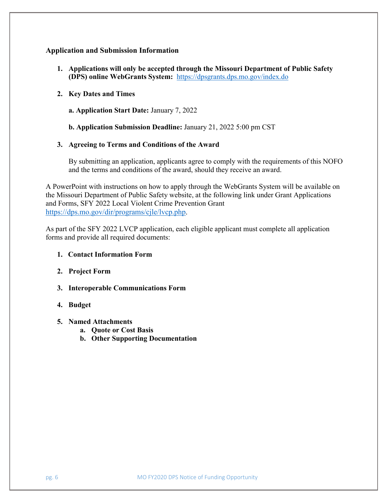### **Application and Submission Information**

**1. Applications will only be accepted through the Missouri Department of Public Safety (DPS) online WebGrants System:** <https://dpsgrants.dps.mo.gov/index.do>

#### **2. Key Dates and Times**

**a. Application Start Date:** January 7, 2022

**b. Application Submission Deadline:** January 21, 2022 5:00 pm CST

#### **3. Agreeing to Terms and Conditions of the Award**

By submitting an application, applicants agree to comply with the requirements of this NOFO and the terms and conditions of the award, should they receive an award.

A PowerPoint with instructions on how to apply through the WebGrants System will be available on the Missouri Department of Public Safety website, at the following link under Grant Applications and Forms, SFY 2022 Local Violent Crime Prevention Grant [https://dps.mo.gov/dir/programs/cjle/lvcp.php.](https://dps.mo.gov/dir/programs/cjle/lvcp.php)

As part of the SFY 2022 LVCP application, each eligible applicant must complete all application forms and provide all required documents:

#### **1. Contact Information Form**

- **2. Project Form**
- **3. Interoperable Communications Form**
- **4. Budget**
- **5. Named Attachments**
	- **a. Quote or Cost Basis**
	- **b. Other Supporting Documentation**